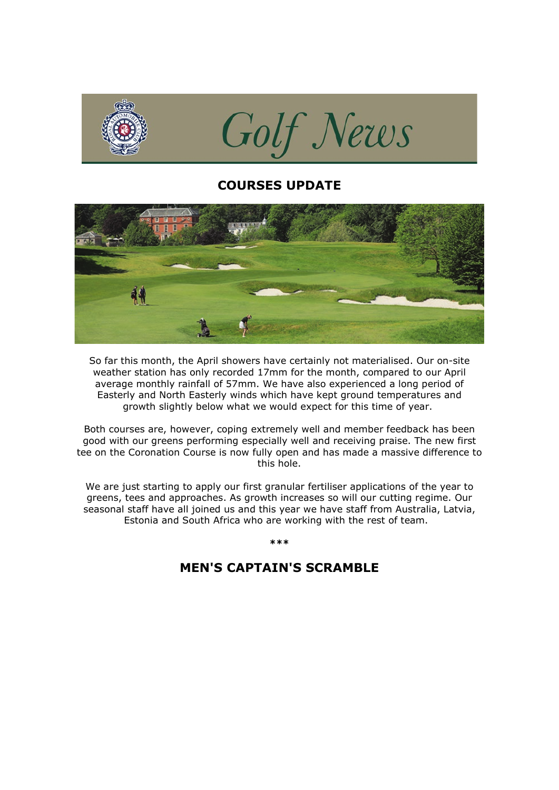

## **COURSES UPDATE**



So far this month, the April showers have certainly not materialised. Our on-site weather station has only recorded 17mm for the month, compared to our April average monthly rainfall of 57mm. We have also experienced a long period of Easterly and North Easterly winds which have kept ground temperatures and growth slightly below what we would expect for this time of year.

Both courses are, however, coping extremely well and member feedback has been good with our greens performing especially well and receiving praise. The new first tee on the Coronation Course is now fully open and has made a massive difference to this hole.

We are just starting to apply our first granular fertiliser applications of the year to greens, tees and approaches. As growth increases so will our cutting regime. Our seasonal staff have all joined us and this year we have staff from Australia, Latvia, Estonia and South Africa who are working with the rest of team.

### **\*\*\***

# **MEN'S CAPTAIN'S SCRAMBLE**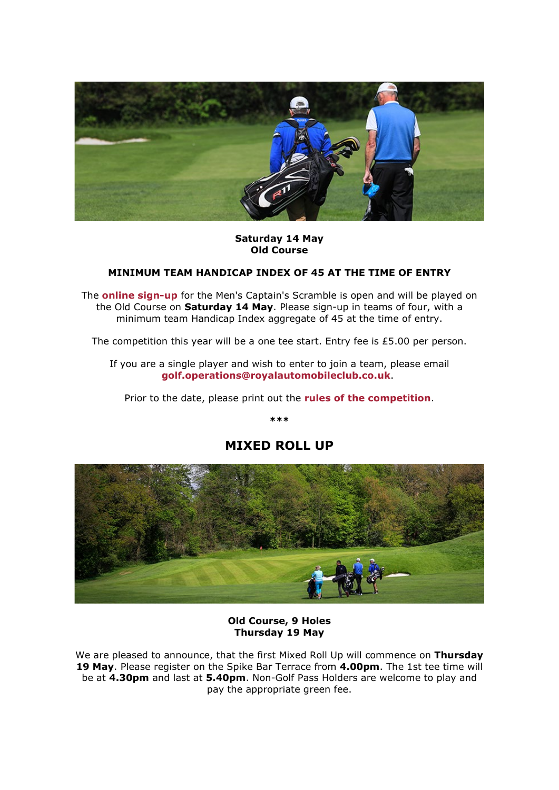

### **Saturday 14 May Old Course**

### **MINIMUM TEAM HANDICAP INDEX OF 45 AT THE TIME OF ENTRY**

The **[online sign-up](http://click.email.royalautomobileclub.co.uk/?qs=1a802877edbe3702ef7020d070ae41c750dd244d030457535ccd50fbc9564eb42fa2b549f8290f99adccd4a2efe1ffc148fd180373b56e5a)** for the Men's Captain's Scramble is open and will be played on the Old Course on **Saturday 14 May**. Please sign-up in teams of four, with a minimum team Handicap Index aggregate of 45 at the time of entry.

The competition this year will be a one tee start. Entry fee is £5.00 per person.

If you are a single player and wish to enter to join a team, please email **[golf.operations@royalautomobileclub.co.uk](mailto:golf.operations@royalautomobileclub.co.uk?subject=Men)**.

Prior to the date, please print out the **[rules of the competition](http://click.email.royalautomobileclub.co.uk/?qs=1a802877edbe370230b89d5e57b567c069c29d86f77f77c9cc5ee6b0365333841395a9c705715198f11fd5d1749bbb1f04fbcc1aa0de3756)**.

**\*\*\***



## **MIXED ROLL UP**

**Old Course, 9 Holes Thursday 19 May**

We are pleased to announce, that the first Mixed Roll Up will commence on **Thursday 19 May**. Please register on the Spike Bar Terrace from **4.00pm**. The 1st tee time will be at **4.30pm** and last at **5.40pm**. Non-Golf Pass Holders are welcome to play and pay the appropriate green fee.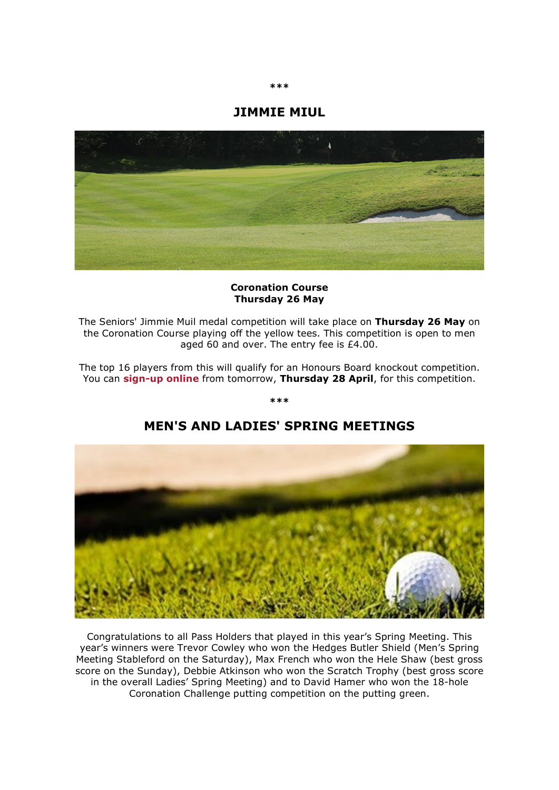## **JIMMIE MIUL**



### **Coronation Course Thursday 26 May**

The Seniors' Jimmie Muil medal competition will take place on **Thursday 26 May** on the Coronation Course playing off the yellow tees. This competition is open to men aged 60 and over. The entry fee is £4.00.

The top 16 players from this will qualify for an Honours Board knockout competition. You can **[sign-up online](http://click.email.royalautomobileclub.co.uk/?qs=1a802877edbe3702a2dc997039b98d9cb94a5292d618b71b461059872fb7f0e37168d69ad3071be207b7066e508cea1ba007f4f2cc9783ba)** from tomorrow, **Thursday 28 April**, for this competition.

**\*\*\***

# **MEN'S AND LADIES' SPRING MEETINGS**

Congratulations to all Pass Holders that played in this year's Spring Meeting. This year's winners were Trevor Cowley who won the Hedges Butler Shield (Men's Spring Meeting Stableford on the Saturday), Max French who won the Hele Shaw (best gross score on the Sunday), Debbie Atkinson who won the Scratch Trophy (best gross score in the overall Ladies' Spring Meeting) and to David Hamer who won the 18-hole Coronation Challenge putting competition on the putting green.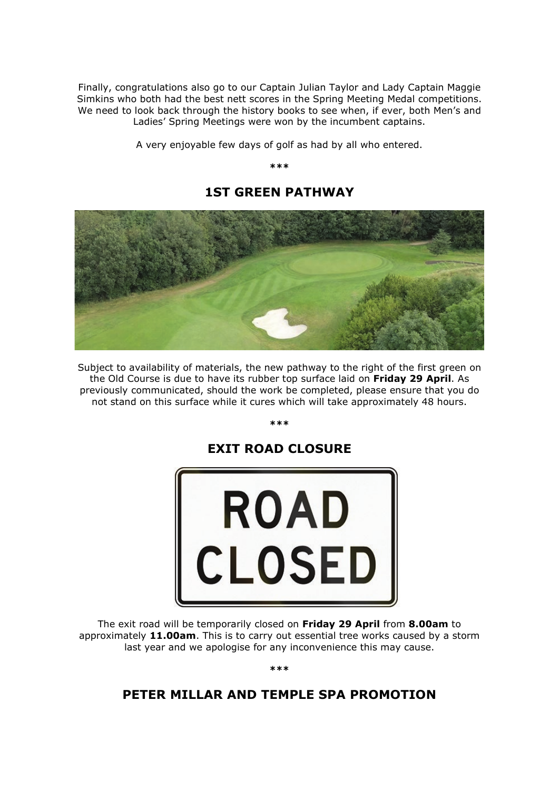Finally, congratulations also go to our Captain Julian Taylor and Lady Captain Maggie Simkins who both had the best nett scores in the Spring Meeting Medal competitions. We need to look back through the history books to see when, if ever, both Men's and Ladies' Spring Meetings were won by the incumbent captains.

A very enjoyable few days of golf as had by all who entered.

**\*\*\***



**1ST GREEN PATHWAY**

Subject to availability of materials, the new pathway to the right of the first green on the Old Course is due to have its rubber top surface laid on **Friday 29 April**. As previously communicated, should the work be completed, please ensure that you do not stand on this surface while it cures which will take approximately 48 hours.

**\*\*\***

# **EXIT ROAD CLOSURE**



The exit road will be temporarily closed on **Friday 29 April** from **8.00am** to approximately **11.00am**. This is to carry out essential tree works caused by a storm last year and we apologise for any inconvenience this may cause.

**\*\*\***

# **PETER MILLAR AND TEMPLE SPA PROMOTION**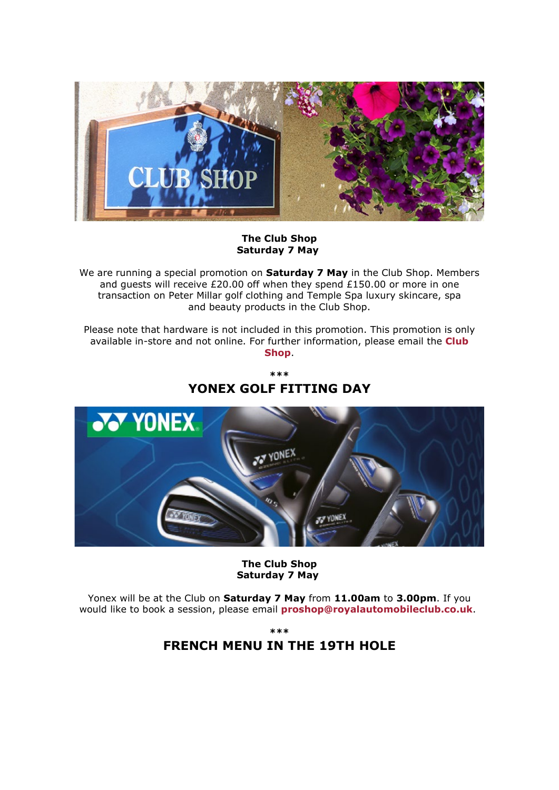

### **The Club Shop Saturday 7 May**

We are running a special promotion on **Saturday 7 May** in the Club Shop. Members and guests will receive £20.00 off when they spend £150.00 or more in one transaction on Peter Millar golf clothing and Temple Spa luxury skincare, spa and beauty products in the Club Shop.

Please note that hardware is not included in this promotion. This promotion is only available in-store and not online. For further information, please email the **[Club](mailto:proshop@royalautomobileclub.co.uk?subject=Peter%20Millar%20Promotion%20and%20Spend%20%C2%A3150.00%20and%20Receive%20%C2%A320.00%20Off)  [Shop](mailto:proshop@royalautomobileclub.co.uk?subject=Peter%20Millar%20Promotion%20and%20Spend%20%C2%A3150.00%20and%20Receive%20%C2%A320.00%20Off)**.

> **\*\*\* YONEX GOLF FITTING DAY**



### **The Club Shop Saturday 7 May**

Yonex will be at the Club on **Saturday 7 May** from **11.00am** to **3.00pm**. If you would like to book a session, please email **[proshop@royalautomobileclub.co.uk](mailto:proshop@royalautomobileclub.co.uk?subject=Yonex%20Golf%20Fitting%20Day%2C%20Saturday%207%20May)**.

**\*\*\***

# **FRENCH MENU IN THE 19TH HOLE**